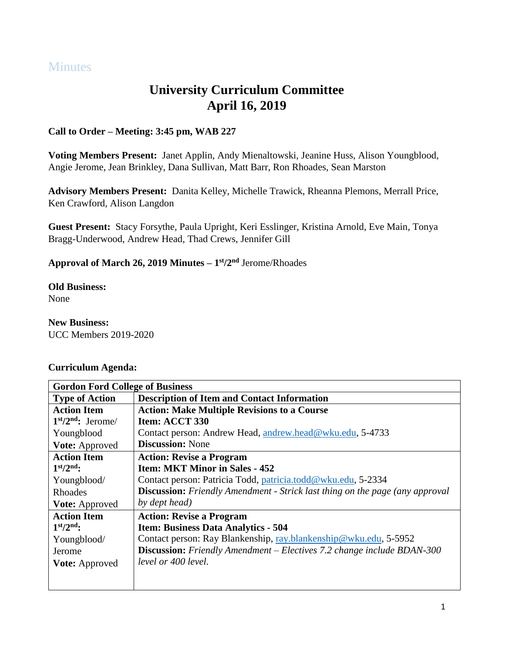# **Minutes**

# **University Curriculum Committee April 16, 2019**

## **Call to Order – Meeting: 3:45 pm, WAB 227**

**Voting Members Present:** Janet Applin, Andy Mienaltowski, Jeanine Huss, Alison Youngblood, Angie Jerome, Jean Brinkley, Dana Sullivan, Matt Barr, Ron Rhoades, Sean Marston

**Advisory Members Present:** Danita Kelley, Michelle Trawick, Rheanna Plemons, Merrall Price, Ken Crawford, Alison Langdon

**Guest Present:** Stacy Forsythe, Paula Upright, Keri Esslinger, Kristina Arnold, Eve Main, Tonya Bragg-Underwood, Andrew Head, Thad Crews, Jennifer Gill

### **Approval of March 26, 2019 Minutes – 1 st/2nd** Jerome/Rhoades

**Old Business:**

None

# **New Business:**

UCC Members 2019-2020

### **Curriculum Agenda:**

| <b>Gordon Ford College of Business</b> |                                                                                     |
|----------------------------------------|-------------------------------------------------------------------------------------|
| <b>Type of Action</b>                  | <b>Description of Item and Contact Information</b>                                  |
| <b>Action Item</b>                     | <b>Action: Make Multiple Revisions to a Course</b>                                  |
| $1st/2nd$ : Jerome/                    | Item: ACCT 330                                                                      |
| Youngblood                             | Contact person: Andrew Head, andrew.head@wku.edu, 5-4733                            |
| <b>Vote:</b> Approved                  | <b>Discussion:</b> None                                                             |
| <b>Action Item</b>                     | <b>Action: Revise a Program</b>                                                     |
| $1st/2nd$ :                            | <b>Item: MKT Minor in Sales - 452</b>                                               |
| Youngblood/                            | Contact person: Patricia Todd, patricia.todd@wku.edu, 5-2334                        |
| Rhoades                                | <b>Discussion:</b> Friendly Amendment - Strick last thing on the page (any approval |
| Vote: Approved                         | by dept head)                                                                       |
| <b>Action Item</b>                     | <b>Action: Revise a Program</b>                                                     |
| $1st/2nd$ :                            | <b>Item: Business Data Analytics - 504</b>                                          |
| Youngblood/                            | Contact person: Ray Blankenship, ray.blankenship@wku.edu, 5-5952                    |
| Jerome                                 | <b>Discussion:</b> Friendly Amendment – Electives 7.2 change include BDAN-300       |
| <b>Vote: Approved</b>                  | level or 400 level.                                                                 |
|                                        |                                                                                     |
|                                        |                                                                                     |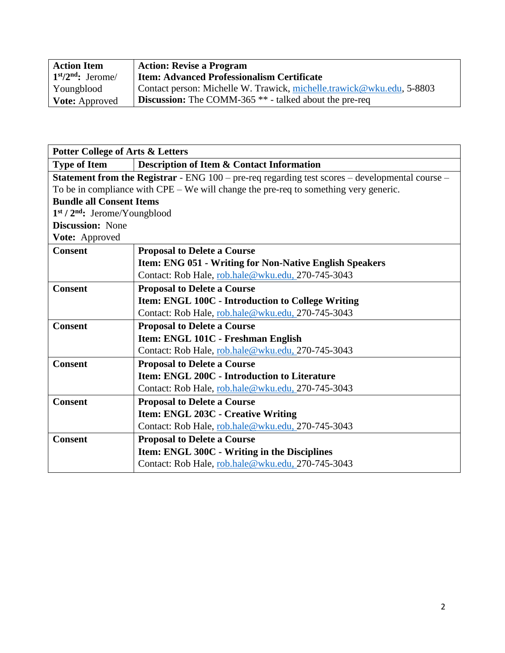| <b>Action Item</b>    | <b>Action: Revise a Program</b>                                          |
|-----------------------|--------------------------------------------------------------------------|
| $1st/2nd$ : Jerome/   | <b>Item: Advanced Professionalism Certificate</b>                        |
| Youngblood            | Contact person: Michelle W. Trawick, michelle.trawick@wku.edu, 5-8803    |
| <b>Vote:</b> Approved | <b>Discussion:</b> The COMM-365 <sup>**</sup> - talked about the pre-req |

| <b>Potter College of Arts &amp; Letters</b>                                                              |                                                                |
|----------------------------------------------------------------------------------------------------------|----------------------------------------------------------------|
| <b>Type of Item</b>                                                                                      | <b>Description of Item &amp; Contact Information</b>           |
| <b>Statement from the Registrar</b> - ENG $100$ – pre-req regarding test scores – developmental course – |                                                                |
| To be in compliance with $CPE - We$ will change the pre-req to something very generic.                   |                                                                |
| <b>Bundle all Consent Items</b>                                                                          |                                                                |
| $1st / 2nd$ : Jerome/Youngblood                                                                          |                                                                |
| <b>Discussion:</b> None                                                                                  |                                                                |
| Vote: Approved                                                                                           |                                                                |
| <b>Consent</b>                                                                                           | <b>Proposal to Delete a Course</b>                             |
|                                                                                                          | <b>Item: ENG 051 - Writing for Non-Native English Speakers</b> |
|                                                                                                          | Contact: Rob Hale, rob.hale@wku.edu, 270-745-3043              |
| <b>Consent</b>                                                                                           | <b>Proposal to Delete a Course</b>                             |
|                                                                                                          | Item: ENGL 100C - Introduction to College Writing              |
|                                                                                                          | Contact: Rob Hale, rob.hale@wku.edu, 270-745-3043              |
| <b>Consent</b>                                                                                           | <b>Proposal to Delete a Course</b>                             |
|                                                                                                          | Item: ENGL 101C - Freshman English                             |
|                                                                                                          | Contact: Rob Hale, rob.hale@wku.edu, 270-745-3043              |
| <b>Consent</b>                                                                                           | <b>Proposal to Delete a Course</b>                             |
|                                                                                                          | <b>Item: ENGL 200C - Introduction to Literature</b>            |
|                                                                                                          | Contact: Rob Hale, rob.hale@wku.edu, 270-745-3043              |
| <b>Consent</b>                                                                                           | <b>Proposal to Delete a Course</b>                             |
|                                                                                                          | Item: ENGL 203C - Creative Writing                             |
|                                                                                                          | Contact: Rob Hale, rob.hale@wku.edu, 270-745-3043              |
| <b>Consent</b>                                                                                           | <b>Proposal to Delete a Course</b>                             |
|                                                                                                          | Item: ENGL 300C - Writing in the Disciplines                   |
|                                                                                                          | Contact: Rob Hale, rob.hale@wku.edu, 270-745-3043              |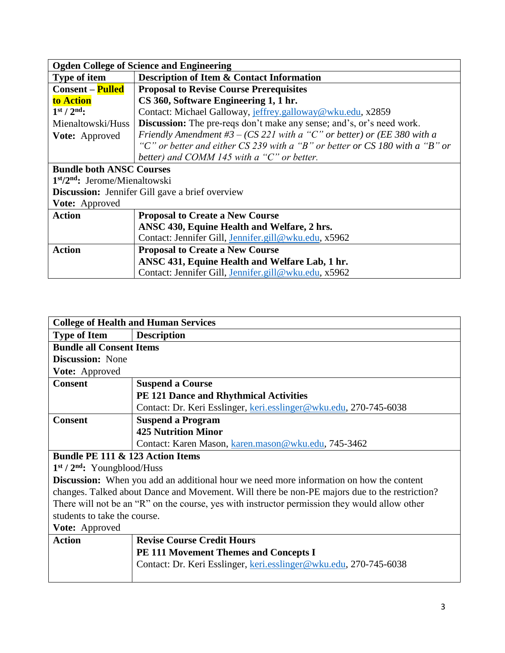| <b>Ogden College of Science and Engineering</b>        |                                                                              |
|--------------------------------------------------------|------------------------------------------------------------------------------|
| <b>Type of item</b>                                    | <b>Description of Item &amp; Contact Information</b>                         |
| <b>Consent – Pulled</b>                                | <b>Proposal to Revise Course Prerequisites</b>                               |
| to Action                                              | CS 360, Software Engineering 1, 1 hr.                                        |
| $1st / 2nd$ :                                          | Contact: Michael Galloway, jeffrey.galloway@wku.edu, x2859                   |
| Mienaltowski/Huss                                      | <b>Discussion:</b> The pre-reqs don't make any sense; and's, or's need work. |
| Vote: Approved                                         | Friendly Amendment #3 – (CS 221 with a "C" or better) or (EE 380 with a      |
|                                                        | "C" or better and either CS 239 with a "B" or better or CS 180 with a "B" or |
|                                                        | better) and COMM 145 with a " $C$ " or better.                               |
| <b>Bundle both ANSC Courses</b>                        |                                                                              |
| $1st/2nd$ : Jerome/Mienaltowski                        |                                                                              |
| <b>Discussion:</b> Jennifer Gill gave a brief overview |                                                                              |
| Vote: Approved                                         |                                                                              |
| <b>Action</b>                                          | <b>Proposal to Create a New Course</b>                                       |
|                                                        | ANSC 430, Equine Health and Welfare, 2 hrs.                                  |
|                                                        | Contact: Jennifer Gill, Jennifer.gill@wku.edu, x5962                         |
| <b>Action</b>                                          | <b>Proposal to Create a New Course</b>                                       |
|                                                        | ANSC 431, Equine Health and Welfare Lab, 1 hr.                               |
|                                                        | Contact: Jennifer Gill, Jennifer.gill@wku.edu, x5962                         |

| <b>College of Health and Human Services</b>                                                    |                                                                   |
|------------------------------------------------------------------------------------------------|-------------------------------------------------------------------|
| <b>Type of Item</b>                                                                            | <b>Description</b>                                                |
| <b>Bundle all Consent Items</b>                                                                |                                                                   |
| <b>Discussion:</b> None                                                                        |                                                                   |
| <b>Vote:</b> Approved                                                                          |                                                                   |
| <b>Consent</b>                                                                                 | <b>Suspend a Course</b>                                           |
|                                                                                                | <b>PE 121 Dance and Rhythmical Activities</b>                     |
|                                                                                                | Contact: Dr. Keri Esslinger, keri.esslinger@wku.edu, 270-745-6038 |
| <b>Consent</b>                                                                                 | <b>Suspend a Program</b>                                          |
|                                                                                                | <b>425 Nutrition Minor</b>                                        |
|                                                                                                | Contact: Karen Mason, karen.mason@wku.edu, 745-3462               |
| Bundle PE 111 & 123 Action Items                                                               |                                                                   |
| $1st / 2nd$ : Youngblood/Huss                                                                  |                                                                   |
| <b>Discussion:</b> When you add an additional hour we need more information on how the content |                                                                   |
| changes. Talked about Dance and Movement. Will there be non-PE majors due to the restriction?  |                                                                   |
| There will not be an "R" on the course, yes with instructor permission they would allow other  |                                                                   |
| students to take the course.                                                                   |                                                                   |
| Vote: Approved                                                                                 |                                                                   |
| <b>Action</b>                                                                                  | <b>Revise Course Credit Hours</b>                                 |
|                                                                                                | <b>PE 111 Movement Themes and Concepts I</b>                      |
|                                                                                                | Contact: Dr. Keri Esslinger, keri.esslinger@wku.edu, 270-745-6038 |
|                                                                                                |                                                                   |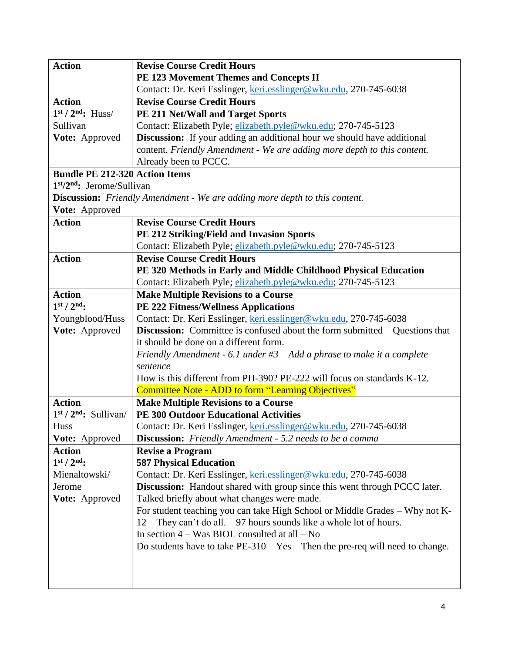| <b>Action</b>                         | <b>Revise Course Credit Hours</b>                                                 |
|---------------------------------------|-----------------------------------------------------------------------------------|
|                                       | PE 123 Movement Themes and Concepts II                                            |
|                                       | Contact: Dr. Keri Esslinger, keri.esslinger@wku.edu, 270-745-6038                 |
| <b>Action</b>                         | <b>Revise Course Credit Hours</b>                                                 |
| $1st / 2nd$ : Huss/                   | PE 211 Net/Wall and Target Sports                                                 |
| Sullivan                              | Contact: Elizabeth Pyle; elizabeth.pyle@wku.edu; 270-745-5123                     |
| Vote: Approved                        | <b>Discussion:</b> If your adding an additional hour we should have additional    |
|                                       | content. Friendly Amendment - We are adding more depth to this content.           |
|                                       | Already been to PCCC.                                                             |
| <b>Bundle PE 212-320 Action Items</b> |                                                                                   |
| $1st/2nd$ : Jerome/Sullivan           |                                                                                   |
|                                       | <b>Discussion:</b> Friendly Amendment - We are adding more depth to this content. |
| Vote: Approved                        |                                                                                   |
| <b>Action</b>                         | <b>Revise Course Credit Hours</b>                                                 |
|                                       | PE 212 Striking/Field and Invasion Sports                                         |
|                                       | Contact: Elizabeth Pyle; elizabeth.pyle@wku.edu; 270-745-5123                     |
| <b>Action</b>                         | <b>Revise Course Credit Hours</b>                                                 |
|                                       | PE 320 Methods in Early and Middle Childhood Physical Education                   |
|                                       | Contact: Elizabeth Pyle; elizabeth.pyle@wku.edu; 270-745-5123                     |
| <b>Action</b>                         | <b>Make Multiple Revisions to a Course</b>                                        |
| $1st / 2nd$ :                         | <b>PE 222 Fitness/Wellness Applications</b>                                       |
| Youngblood/Huss                       | Contact: Dr. Keri Esslinger, keri.esslinger@wku.edu, 270-745-6038                 |
| Vote: Approved                        | Discussion: Committee is confused about the form submitted – Questions that       |
|                                       | it should be done on a different form.                                            |
|                                       | Friendly Amendment - 6.1 under $#3 - Add$ a phrase to make it a complete          |
|                                       | sentence                                                                          |
|                                       | How is this different from PH-390? PE-222 will focus on standards K-12.           |
|                                       | Committee Note - ADD to form "Learning Objectives"                                |
| <b>Action</b>                         | <b>Make Multiple Revisions to a Course</b>                                        |
| $1st / 2nd$ : Sullivan/               | <b>PE 300 Outdoor Educational Activities</b>                                      |
| <b>Huss</b>                           | Contact: Dr. Keri Esslinger, keri.esslinger@wku.edu, 270-745-6038                 |
| Vote: Approved                        | <b>Discussion:</b> Friendly Amendment - 5.2 needs to be a comma                   |
| <b>Action</b>                         | <b>Revise a Program</b>                                                           |
| $1st / 2nd$ :                         | <b>587 Physical Education</b>                                                     |
| Mienaltowski/                         | Contact: Dr. Keri Esslinger, keri.esslinger@wku.edu, 270-745-6038                 |
| Jerome                                | <b>Discussion:</b> Handout shared with group since this went through PCCC later.  |
| Vote: Approved                        | Talked briefly about what changes were made.                                      |
|                                       | For student teaching you can take High School or Middle Grades - Why not K-       |
|                                       | $12$ – They can't do all. – 97 hours sounds like a whole lot of hours.            |
|                                       | In section $4 - Was BIOL$ consulted at all $- No$                                 |
|                                       | Do students have to take $PE-310 - Yes$ – Then the pre-req will need to change.   |
|                                       |                                                                                   |
|                                       |                                                                                   |
|                                       |                                                                                   |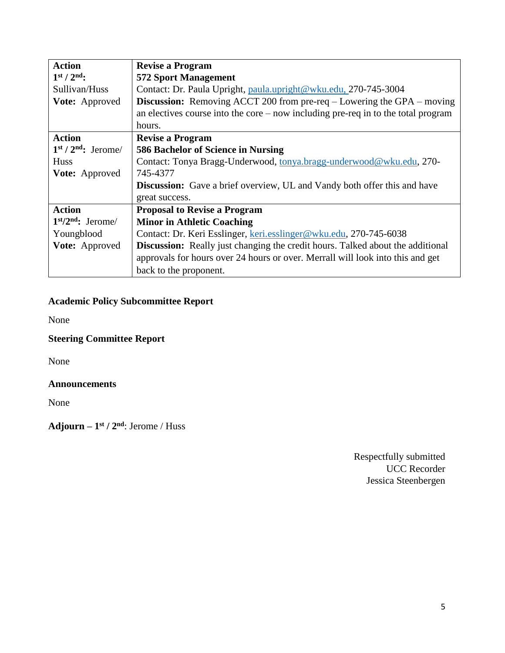| <b>Action</b>         | <b>Revise a Program</b>                                                               |
|-----------------------|---------------------------------------------------------------------------------------|
| $1st / 2nd$ :         | <b>572 Sport Management</b>                                                           |
| Sullivan/Huss         | Contact: Dr. Paula Upright, paula.upright@wku.edu, 270-745-3004                       |
| Vote: Approved        | <b>Discussion:</b> Removing ACCT 200 from pre-req $-$ Lowering the GPA $-$ moving     |
|                       | an electives course into the core $-$ now including pre-req in to the total program   |
|                       | hours.                                                                                |
| <b>Action</b>         | <b>Revise a Program</b>                                                               |
| $1st / 2nd$ : Jerome/ | 586 Bachelor of Science in Nursing                                                    |
| <b>Huss</b>           | Contact: Tonya Bragg-Underwood, tonya.bragg-underwood@wku.edu, 270-                   |
| <b>Vote:</b> Approved | 745-4377                                                                              |
|                       | <b>Discussion:</b> Gave a brief overview, UL and Vandy both offer this and have       |
|                       | great success.                                                                        |
| <b>Action</b>         | <b>Proposal to Revise a Program</b>                                                   |
| $1st/2nd$ : Jerome/   | <b>Minor in Athletic Coaching</b>                                                     |
| Youngblood            | Contact: Dr. Keri Esslinger, keri.esslinger@wku.edu, 270-745-6038                     |
| Vote: Approved        | <b>Discussion:</b> Really just changing the credit hours. Talked about the additional |
|                       | approvals for hours over 24 hours or over. Merrall will look into this and get        |
|                       | back to the proponent.                                                                |

## **Academic Policy Subcommittee Report**

None

## **Steering Committee Report**

None

### **Announcements**

None

**Adjourn – 1 st / 2nd**: Jerome / Huss

Respectfully submitted UCC Recorder Jessica Steenbergen